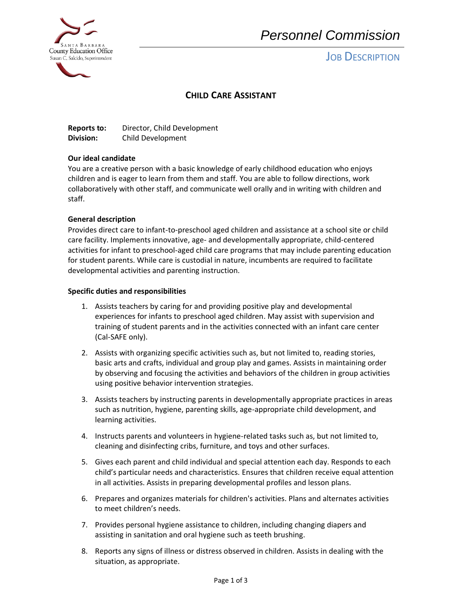

# *Personnel Commission*

## **JOB DESCRIPTION**

## **CHILD CARE ASSISTANT**

| <b>Reports to:</b> | Director, Child Development |
|--------------------|-----------------------------|
| Division:          | Child Development           |

#### **Our ideal candidate**

You are a creative person with a basic knowledge of early childhood education who enjoys children and is eager to learn from them and staff. You are able to follow directions, work collaboratively with other staff, and communicate well orally and in writing with children and staff.

#### **General description**

Provides direct care to infant-to-preschool aged children and assistance at a school site or child care facility. Implements innovative, age- and developmentally appropriate, child-centered activities for infant to preschool-aged child care programs that may include parenting education for student parents. While care is custodial in nature, incumbents are required to facilitate developmental activities and parenting instruction.

#### **Specific duties and responsibilities**

- 1. Assists teachers by caring for and providing positive play and developmental experiences for infants to preschool aged children. May assist with supervision and training of student parents and in the activities connected with an infant care center (Cal-SAFE only).
- 2. Assists with organizing specific activities such as, but not limited to, reading stories, basic arts and crafts, individual and group play and games. Assists in maintaining order by observing and focusing the activities and behaviors of the children in group activities using positive behavior intervention strategies.
- 3. Assists teachers by instructing parents in developmentally appropriate practices in areas such as nutrition, hygiene, parenting skills, age-appropriate child development, and learning activities.
- 4. Instructs parents and volunteers in hygiene-related tasks such as, but not limited to, cleaning and disinfecting cribs, furniture, and toys and other surfaces.
- 5. Gives each parent and child individual and special attention each day. Responds to each child's particular needs and characteristics. Ensures that children receive equal attention in all activities. Assists in preparing developmental profiles and lesson plans.
- 6. Prepares and organizes materials for children's activities. Plans and alternates activities to meet children's needs.
- 7. Provides personal hygiene assistance to children, including changing diapers and assisting in sanitation and oral hygiene such as teeth brushing.
- 8. Reports any signs of illness or distress observed in children. Assists in dealing with the situation, as appropriate.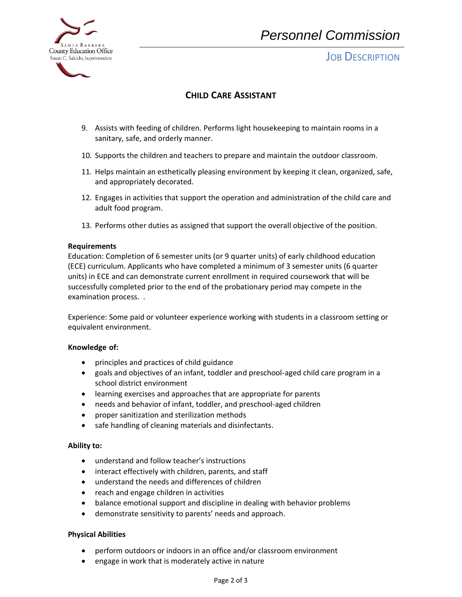

# *Personnel Commission*

## **JOB DESCRIPTION**

## **CHILD CARE ASSISTANT**

- 9. Assists with feeding of children. Performs light housekeeping to maintain rooms in a sanitary, safe, and orderly manner.
- 10. Supports the children and teachers to prepare and maintain the outdoor classroom.
- 11. Helps maintain an esthetically pleasing environment by keeping it clean, organized, safe, and appropriately decorated.
- 12. Engages in activities that support the operation and administration of the child care and adult food program.
- 13. Performs other duties as assigned that support the overall objective of the position.

#### **Requirements**

Education: Completion of 6 semester units (or 9 quarter units) of early childhood education (ECE) curriculum. Applicants who have completed a minimum of 3 semester units (6 quarter units) in ECE and can demonstrate current enrollment in required coursework that will be successfully completed prior to the end of the probationary period may compete in the examination process. .

Experience: Some paid or volunteer experience working with students in a classroom setting or equivalent environment.

#### **Knowledge of:**

- principles and practices of child guidance
- goals and objectives of an infant, toddler and preschool-aged child care program in a school district environment
- learning exercises and approaches that are appropriate for parents
- needs and behavior of infant, toddler, and preschool-aged children
- proper sanitization and sterilization methods
- safe handling of cleaning materials and disinfectants.

#### **Ability to:**

- understand and follow teacher's instructions
- interact effectively with children, parents, and staff
- understand the needs and differences of children
- reach and engage children in activities
- balance emotional support and discipline in dealing with behavior problems
- demonstrate sensitivity to parents' needs and approach.

#### **Physical Abilities**

- perform outdoors or indoors in an office and/or classroom environment
- engage in work that is moderately active in nature